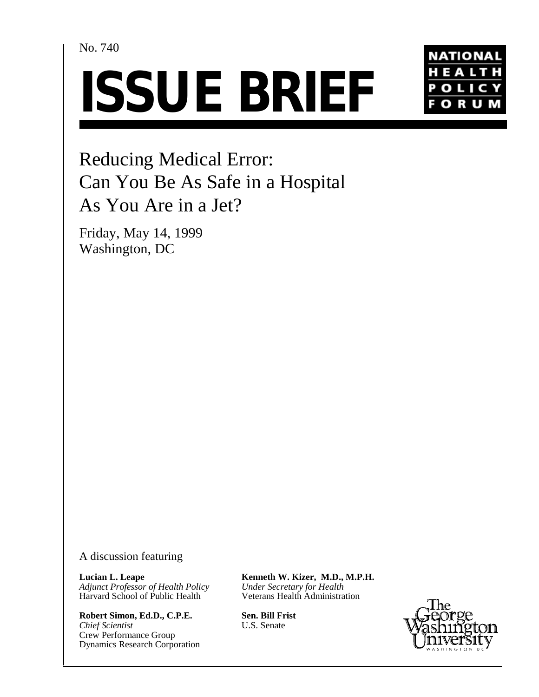No. 740





Reducing Medical Error: Can You Be As Safe in a Hospital As You Are in a Jet?

Friday, May 14, 1999 Washington, DC

A discussion featuring

**Lucian L. Leape** *Adjunct Professor of Health Policy* Harvard School of Public Health

**Robert Simon, Ed.D., C.P.E.** *Chief Scientist* Crew Performance Group Dynamics Research Corporation **Kenneth W. Kizer, M.D., M.P.H.** *Under Secretary for Health* Veterans Health Administration

**Sen. Bill Frist** U.S. Senate

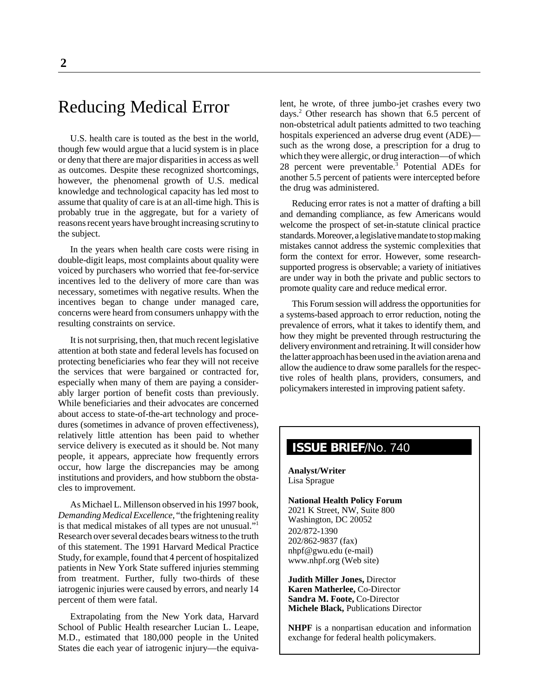# Reducing Medical Error

U.S. health care is touted as the best in the world, though few would argue that a lucid system is in place or deny that there are major disparities in access as well as outcomes. Despite these recognized shortcomings, however, the phenomenal growth of U.S. medical knowledge and technological capacity has led most to assume that quality of care is at an all-time high. This is probably true in the aggregate, but for a variety of reasons recent years have brought increasing scrutiny to the subject.

In the years when health care costs were rising in double-digit leaps, most complaints about quality were voiced by purchasers who worried that fee-for-service incentives led to the delivery of more care than was necessary, sometimes with negative results. When the incentives began to change under managed care, concerns were heard from consumers unhappy with the resulting constraints on service.

It is not surprising, then, that much recent legislative attention at both state and federal levels has focused on protecting beneficiaries who fear they will not receive the services that were bargained or contracted for, especially when many of them are paying a considerably larger portion of benefit costs than previously. While beneficiaries and their advocates are concerned about access to state-of-the-art technology and procedures (sometimes in advance of proven effectiveness), relatively little attention has been paid to whether service delivery is executed as it should be. Not many people, it appears, appreciate how frequently errors occur, how large the discrepancies may be among institutions and providers, and how stubborn the obstacles to improvement.

As Michael L. Millenson observed in his 1997 book, *Demanding Medical Excellence,* "the frightening reality is that medical mistakes of all types are not unusual."1 Research over several decades bears witness to the truth of this statement. The 1991 Harvard Medical Practice Study, for example, found that 4 percent of hospitalized patients in New York State suffered injuries stemming from treatment. Further, fully two-thirds of these iatrogenic injuries were caused by errors, and nearly 14 percent of them were fatal.

Extrapolating from the New York data, Harvard School of Public Health researcher Lucian L. Leape, M.D., estimated that 180,000 people in the United States die each year of iatrogenic injury—the equivalent, he wrote, of three jumbo-jet crashes every two days.2 Other research has shown that 6.5 percent of non-obstetrical adult patients admitted to two teaching hospitals experienced an adverse drug event (ADE) such as the wrong dose, a prescription for a drug to which they were allergic, or drug interaction—of which 28 percent were preventable.3 Potential ADEs for another 5.5 percent of patients were intercepted before the drug was administered.

Reducing error rates is not a matter of drafting a bill and demanding compliance, as few Americans would welcome the prospect of set-in-statute clinical practice standards.Moreover,alegislative mandate to stop making mistakes cannot address the systemic complexities that form the context for error. However, some researchsupported progress is observable; a variety of initiatives are under way in both the private and public sectors to promote quality care and reduce medical error.

This Forum session will address the opportunities for a systems-based approach to error reduction, noting the prevalence of errors, what it takes to identify them, and how they might be prevented through restructuring the delivery environment and retraining. It will consider how the latter approach has been used in the aviation arena and allow the audience to draw some parallels for the respective roles of health plans, providers, consumers, and policymakers interested in improving patient safety.

# **ISSUE BRIEF**/No. 740

**Analyst/Writer** Lisa Sprague

**National Health Policy Forum** 2021 K Street, NW, Suite 800 Washington, DC 20052

202/872-1390 202/862-9837 (fax) nhpf@gwu.edu (e-mail) www.nhpf.org (Web site)

**Judith Miller Jones,** Director **Karen Matherlee,** Co-Director **Sandra M. Foote,** Co-Director **Michele Black,** Publications Director

**NHPF** is a nonpartisan education and information exchange for federal health policymakers.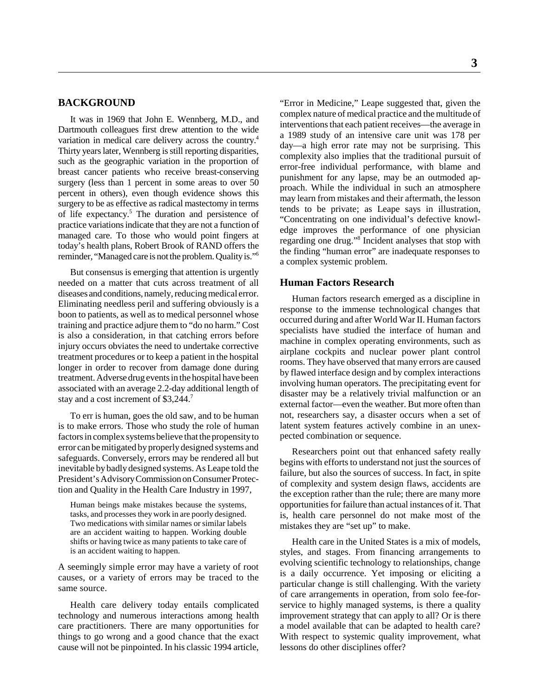# **BACKGROUND**

It was in 1969 that John E. Wennberg, M.D., and Dartmouth colleagues first drew attention to the wide variation in medical care delivery across the country.4 Thirty years later, Wennberg is still reporting disparities, such as the geographic variation in the proportion of breast cancer patients who receive breast-conserving surgery (less than 1 percent in some areas to over 50 percent in others), even though evidence shows this surgery to be as effective as radical mastectomy in terms of life expectancy.<sup>5</sup> The duration and persistence of practice variations indicate that they are not a function of managed care. To those who would point fingers at today's health plans, Robert Brook of RAND offers the reminder, "Managed care is not the problem. Quality is."6

But consensus is emerging that attention is urgently needed on a matter that cuts across treatment of all diseases and conditions, namely, reducing medical error. Eliminating needless peril and suffering obviously is a boon to patients, as well as to medical personnel whose training and practice adjure them to "do no harm." Cost is also a consideration, in that catching errors before injury occurs obviates the need to undertake corrective treatment procedures or to keep a patient in the hospital longer in order to recover from damage done during treatment. Adverse drug events in the hospital have been associated with an average 2.2-day additional length of stay and a cost increment of \$3,244.7

To err is human, goes the old saw, and to be human is to make errors. Those who study the role of human factors in complex systems believe that the propensity to error can be mitigated by properly designed systems and safeguards. Conversely, errors may be rendered all but inevitable by badly designed systems. As Leape told the President's Advisory Commission on Consumer Protection and Quality in the Health Care Industry in 1997,

Human beings make mistakes because the systems, tasks, and processes they work in are poorly designed. Two medications with similar names or similar labels are an accident waiting to happen. Working double shifts or having twice as many patients to take care of is an accident waiting to happen.

A seemingly simple error may have a variety of root causes, or a variety of errors may be traced to the same source.

Health care delivery today entails complicated technology and numerous interactions among health care practitioners. There are many opportunities for things to go wrong and a good chance that the exact cause will not be pinpointed. In his classic 1994 article,

"Error in Medicine," Leape suggested that, given the complex nature of medical practice and the multitude of interventions that each patient receives—the average in a 1989 study of an intensive care unit was 178 per day—a high error rate may not be surprising. This complexity also implies that the traditional pursuit of error-free individual performance, with blame and punishment for any lapse, may be an outmoded approach. While the individual in such an atmosphere may learn from mistakes and their aftermath, the lesson tends to be private; as Leape says in illustration, "Concentrating on one individual's defective knowledge improves the performance of one physician regarding one drug."8 Incident analyses that stop with the finding "human error" are inadequate responses to a complex systemic problem.

# **Human Factors Research**

Human factors research emerged as a discipline in response to the immense technological changes that occurred during and after World War II. Human factors specialists have studied the interface of human and machine in complex operating environments, such as airplane cockpits and nuclear power plant control rooms. They have observed that many errors are caused by flawed interface design and by complex interactions involving human operators. The precipitating event for disaster may be a relatively trivial malfunction or an external factor—even the weather. But more often than not, researchers say, a disaster occurs when a set of latent system features actively combine in an unexpected combination or sequence.

Researchers point out that enhanced safety really begins with efforts to understand not just the sources of failure, but also the sources of success. In fact, in spite of complexity and system design flaws, accidents are the exception rather than the rule; there are many more opportunities for failure than actual instances of it. That is, health care personnel do not make most of the mistakes they are "set up" to make.

Health care in the United States is a mix of models, styles, and stages. From financing arrangements to evolving scientific technology to relationships, change is a daily occurrence. Yet imposing or eliciting a particular change is still challenging. With the variety of care arrangements in operation, from solo fee-forservice to highly managed systems, is there a quality improvement strategy that can apply to all? Or is there a model available that can be adapted to health care? With respect to systemic quality improvement, what lessons do other disciplines offer?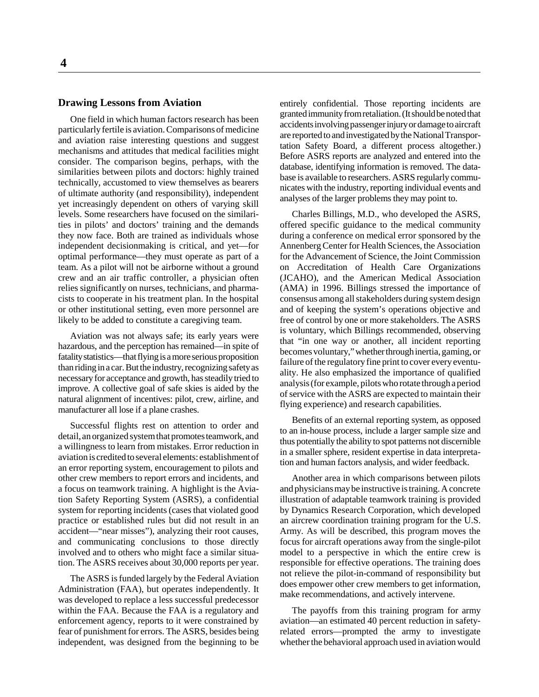# **Drawing Lessons from Aviation**

One field in which human factors research has been particularly fertile is aviation. Comparisons of medicine and aviation raise interesting questions and suggest mechanisms and attitudes that medical facilities might consider. The comparison begins, perhaps, with the similarities between pilots and doctors: highly trained technically, accustomed to view themselves as bearers of ultimate authority (and responsibility), independent yet increasingly dependent on others of varying skill levels. Some researchers have focused on the similarities in pilots' and doctors' training and the demands they now face. Both are trained as individuals whose independent decisionmaking is critical, and yet—for optimal performance—they must operate as part of a team. As a pilot will not be airborne without a ground crew and an air traffic controller, a physician often relies significantly on nurses, technicians, and pharmacists to cooperate in his treatment plan. In the hospital or other institutional setting, even more personnel are likely to be added to constitute a caregiving team.

Aviation was not always safe; its early years were hazardous, and the perception has remained—in spite of fatality statistics—that flying is a more serious proposition than riding in a car. But the industry, recognizing safety as necessary for acceptance and growth, has steadily tried to improve. A collective goal of safe skies is aided by the natural alignment of incentives: pilot, crew, airline, and manufacturer all lose if a plane crashes.

Successful flights rest on attention to order and detail, an organized system that promotes teamwork, and a willingness to learn from mistakes. Error reduction in aviation is credited to several elements: establishment of an error reporting system, encouragement to pilots and other crew members to report errors and incidents, and a focus on teamwork training. A highlight is the Aviation Safety Reporting System (ASRS), a confidential system for reporting incidents (cases that violated good practice or established rules but did not result in an accident—"near misses"), analyzing their root causes, and communicating conclusions to those directly involved and to others who might face a similar situation. The ASRS receives about 30,000 reports per year.

The ASRS is funded largely by the Federal Aviation Administration (FAA), but operates independently. It was developed to replace a less successful predecessor within the FAA. Because the FAA is a regulatory and enforcement agency, reports to it were constrained by fear of punishment for errors. The ASRS, besides being independent, was designed from the beginning to be

entirely confidential. Those reporting incidents are granted immunity from retaliation. (It should be noted that accidents involving passenger injury or damage to aircraft are reported to and investigated by the National Transportation Safety Board, a different process altogether.) Before ASRS reports are analyzed and entered into the database, identifying information is removed. The database is available to researchers. ASRS regularly communicates with the industry, reporting individual events and analyses of the larger problems they may point to.

Charles Billings, M.D., who developed the ASRS, offered specific guidance to the medical community during a conference on medical error sponsored by the Annenberg Center for Health Sciences, the Association for the Advancement of Science, the Joint Commission on Accreditation of Health Care Organizations (JCAHO), and the American Medical Association (AMA) in 1996. Billings stressed the importance of consensus among all stakeholders during system design and of keeping the system's operations objective and free of control by one or more stakeholders. The ASRS is voluntary, which Billings recommended, observing that "in one way or another, all incident reporting becomes voluntary," whether through inertia, gaming, or failure of the regulatory fine print to cover every eventuality. He also emphasized the importance of qualified analysis (for example, pilots who rotate through a period of service with the ASRS are expected to maintain their flying experience) and research capabilities.

Benefits of an external reporting system, as opposed to an in-house process, include a larger sample size and thus potentially the ability to spot patterns not discernible in a smaller sphere, resident expertise in data interpretation and human factors analysis, and wider feedback.

Another area in which comparisons between pilots and physicians may be instructive is training. A concrete illustration of adaptable teamwork training is provided by Dynamics Research Corporation, which developed an aircrew coordination training program for the U.S. Army. As will be described, this program moves the focus for aircraft operations away from the single-pilot model to a perspective in which the entire crew is responsible for effective operations. The training does not relieve the pilot-in-command of responsibility but does empower other crew members to get information, make recommendations, and actively intervene.

The payoffs from this training program for army aviation—an estimated 40 percent reduction in safetyrelated errors—prompted the army to investigate whether the behavioral approach used in aviation would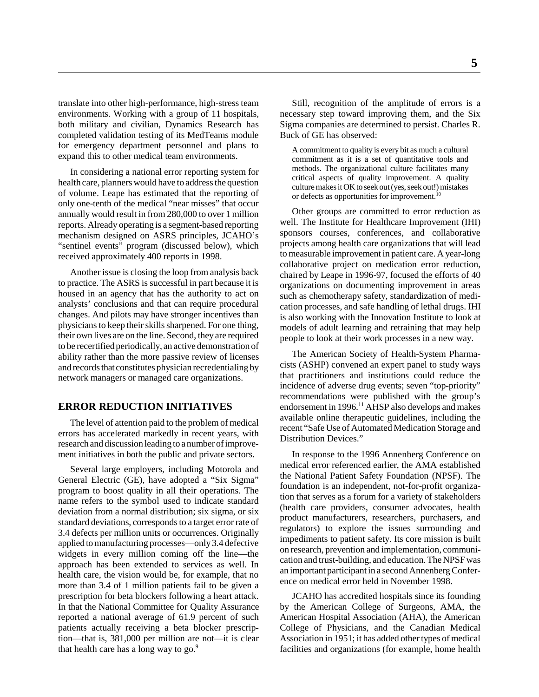translate into other high-performance, high-stress team environments. Working with a group of 11 hospitals, both military and civilian, Dynamics Research has completed validation testing of its MedTeams module for emergency department personnel and plans to expand this to other medical team environments.

In considering a national error reporting system for health care, planners would have to address the question of volume. Leape has estimated that the reporting of only one-tenth of the medical "near misses" that occur annually would result in from 280,000 to over 1 million reports. Already operating is a segment-based reporting mechanism designed on ASRS principles, JCAHO's "sentinel events" program (discussed below), which received approximately 400 reports in 1998.

Another issue is closing the loop from analysis back to practice. The ASRS is successful in part because it is housed in an agency that has the authority to act on analysts' conclusions and that can require procedural changes. And pilots may have stronger incentives than physicians to keep their skills sharpened. For one thing, their own lives are on the line. Second, they are required to be recertified periodically, an active demonstration of ability rather than the more passive review of licenses and records that constitutes physician recredentialing by network managers or managed care organizations.

# **ERROR REDUCTION INITIATIVES**

The level of attention paid to the problem of medical errors has accelerated markedly in recent years, with research and discussion leading to a number of improvement initiatives in both the public and private sectors.

Several large employers, including Motorola and General Electric (GE), have adopted a "Six Sigma" program to boost quality in all their operations. The name refers to the symbol used to indicate standard deviation from a normal distribution; six sigma, or six standard deviations, corresponds to a target error rate of 3.4 defects per million units or occurrences. Originally applied to manufacturing processes—only 3.4 defective widgets in every million coming off the line—the approach has been extended to services as well. In health care, the vision would be, for example, that no more than 3.4 of 1 million patients fail to be given a prescription for beta blockers following a heart attack. In that the National Committee for Quality Assurance reported a national average of 61.9 percent of such patients actually receiving a beta blocker prescription—that is, 381,000 per million are not—it is clear that health care has a long way to go.<sup>9</sup>

Still, recognition of the amplitude of errors is a necessary step toward improving them, and the Six Sigma companies are determined to persist. Charles R. Buck of GE has observed:

A commitment to quality is every bit as much a cultural commitment as it is a set of quantitative tools and methods. The organizational culture facilitates many critical aspects of quality improvement. A quality culture makes it OK to seek out (yes, seek out!) mistakes or defects as opportunities for improvement.<sup>10</sup>

Other groups are committed to error reduction as well. The Institute for Healthcare Improvement (IHI) sponsors courses, conferences, and collaborative projects among health care organizations that will lead to measurable improvement in patient care. A year-long collaborative project on medication error reduction, chaired by Leape in 1996-97, focused the efforts of 40 organizations on documenting improvement in areas such as chemotherapy safety, standardization of medication processes, and safe handling of lethal drugs. IHI is also working with the Innovation Institute to look at models of adult learning and retraining that may help people to look at their work processes in a new way.

The American Society of Health-System Pharmacists (ASHP) convened an expert panel to study ways that practitioners and institutions could reduce the incidence of adverse drug events; seven "top-priority" recommendations were published with the group's endorsement in 1996.<sup>11</sup> AHSP also develops and makes available online therapeutic guidelines, including the recent "Safe Use of Automated Medication Storage and Distribution Devices."

In response to the 1996 Annenberg Conference on medical error referenced earlier, the AMA established the National Patient Safety Foundation (NPSF). The foundation is an independent, not-for-profit organization that serves as a forum for a variety of stakeholders (health care providers, consumer advocates, health product manufacturers, researchers, purchasers, and regulators) to explore the issues surrounding and impediments to patient safety. Its core mission is built on research, prevention and implementation, communication and trust-building, and education. The NPSF was an important participant in a second Annenberg Conference on medical error held in November 1998.

JCAHO has accredited hospitals since its founding by the American College of Surgeons, AMA, the American Hospital Association (AHA), the American College of Physicians, and the Canadian Medical Association in 1951; it has added other types of medical facilities and organizations (for example, home health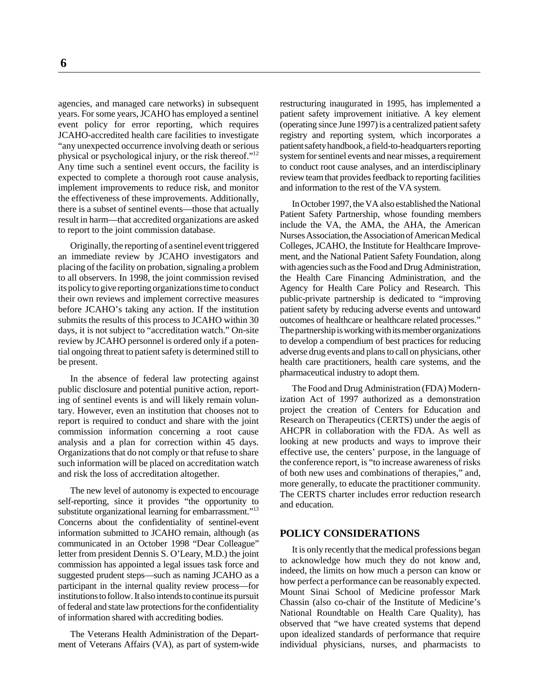agencies, and managed care networks) in subsequent years. For some years, JCAHO has employed a sentinel event policy for error reporting, which requires JCAHO-accredited health care facilities to investigate "any unexpected occurrence involving death or serious physical or psychological injury, or the risk thereof."12 Any time such a sentinel event occurs, the facility is expected to complete a thorough root cause analysis, implement improvements to reduce risk, and monitor the effectiveness of these improvements. Additionally, there is a subset of sentinel events—those that actually result in harm—that accredited organizations are asked to report to the joint commission database.

Originally, the reporting of a sentinel event triggered an immediate review by JCAHO investigators and placing of the facility on probation, signaling a problem to all observers. In 1998, the joint commission revised its policy to give reporting organizations time to conduct their own reviews and implement corrective measures before JCAHO's taking any action. If the institution submits the results of this process to JCAHO within 30 days, it is not subject to "accreditation watch." On-site review by JCAHO personnel is ordered only if a potential ongoing threat to patient safety is determined still to be present.

In the absence of federal law protecting against public disclosure and potential punitive action, reporting of sentinel events is and will likely remain voluntary. However, even an institution that chooses not to report is required to conduct and share with the joint commission information concerning a root cause analysis and a plan for correction within 45 days. Organizations that do not comply or that refuse to share such information will be placed on accreditation watch and risk the loss of accreditation altogether.

The new level of autonomy is expected to encourage self-reporting, since it provides "the opportunity to substitute organizational learning for embarrassment."<sup>13</sup> Concerns about the confidentiality of sentinel-event information submitted to JCAHO remain, although (as communicated in an October 1998 "Dear Colleague" letter from president Dennis S. O'Leary, M.D.) the joint commission has appointed a legal issues task force and suggested prudent steps—such as naming JCAHO as a participant in the internal quality review process—for institutions to follow. It also intends to continue its pursuit of federal and state law protections for the confidentiality of information shared with accrediting bodies.

The Veterans Health Administration of the Department of Veterans Affairs (VA), as part of system-wide restructuring inaugurated in 1995, has implemented a patient safety improvement initiative. A key element (operating since June 1997) is a centralized patient safety registry and reporting system, which incorporates a patient safety handbook, a field-to-headquarters reporting system for sentinel events and near misses, a requirement to conduct root cause analyses, and an interdisciplinary review team that provides feedback to reporting facilities and information to the rest of the VA system.

In October 1997, the VA also established the National Patient Safety Partnership, whose founding members include the VA, the AMA, the AHA, the American Nurses Association, the Association of American Medical Colleges, JCAHO, the Institute for Healthcare Improvement, and the National Patient Safety Foundation, along with agencies such as the Food and Drug Administration, the Health Care Financing Administration, and the Agency for Health Care Policy and Research. This public-private partnership is dedicated to "improving patient safety by reducing adverse events and untoward outcomes of healthcare or healthcare related processes." The partnership is working with its member organizations to develop a compendium of best practices for reducing adverse drug events and plans to call on physicians, other health care practitioners, health care systems, and the pharmaceutical industry to adopt them.

The Food and Drug Administration (FDA) Modernization Act of 1997 authorized as a demonstration project the creation of Centers for Education and Research on Therapeutics (CERTS) under the aegis of AHCPR in collaboration with the FDA. As well as looking at new products and ways to improve their effective use, the centers' purpose, in the language of the conference report, is "to increase awareness of risks of both new uses and combinations of therapies," and, more generally, to educate the practitioner community. The CERTS charter includes error reduction research and education.

# **POLICY CONSIDERATIONS**

It is only recently that the medical professions began to acknowledge how much they do not know and, indeed, the limits on how much a person can know or how perfect a performance can be reasonably expected. Mount Sinai School of Medicine professor Mark Chassin (also co-chair of the Institute of Medicine's National Roundtable on Health Care Quality), has observed that "we have created systems that depend upon idealized standards of performance that require individual physicians, nurses, and pharmacists to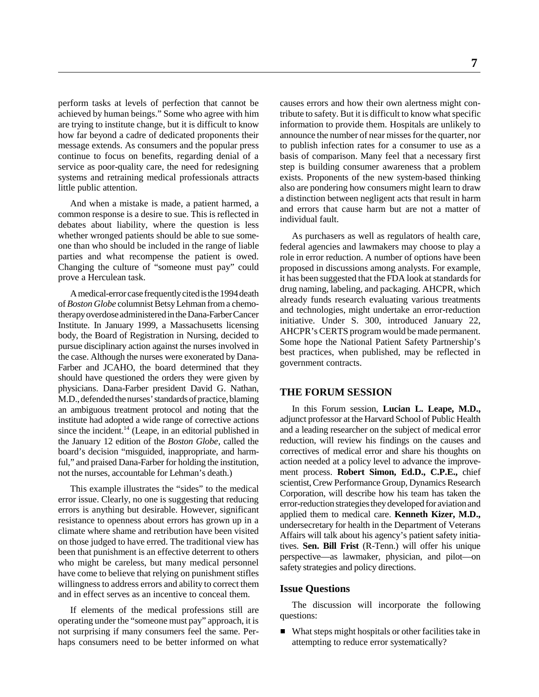perform tasks at levels of perfection that cannot be achieved by human beings." Some who agree with him are trying to institute change, but it is difficult to know how far beyond a cadre of dedicated proponents their message extends. As consumers and the popular press continue to focus on benefits, regarding denial of a service as poor-quality care, the need for redesigning systems and retraining medical professionals attracts little public attention.

And when a mistake is made, a patient harmed, a common response is a desire to sue. This is reflected in debates about liability, where the question is less whether wronged patients should be able to sue someone than who should be included in the range of liable parties and what recompense the patient is owed. Changing the culture of "someone must pay" could prove a Herculean task.

A medical-error case frequently cited is the 1994 death of *Boston Globe* columnist Betsy Lehman from a chemotherapy overdose administered in the Dana-Farber Cancer Institute. In January 1999, a Massachusetts licensing body, the Board of Registration in Nursing, decided to pursue disciplinary action against the nurses involved in the case. Although the nurses were exonerated by Dana-Farber and JCAHO, the board determined that they should have questioned the orders they were given by physicians. Dana-Farber president David G. Nathan, M.D., defended the nurses' standards of practice, blaming an ambiguous treatment protocol and noting that the institute had adopted a wide range of corrective actions since the incident.<sup>14</sup> (Leape, in an editorial published in the January 12 edition of the *Boston Globe*, called the board's decision "misguided, inappropriate, and harmful," and praised Dana-Farber for holding the institution, not the nurses, accountable for Lehman's death.)

This example illustrates the "sides" to the medical error issue. Clearly, no one is suggesting that reducing errors is anything but desirable. However, significant resistance to openness about errors has grown up in a climate where shame and retribution have been visited on those judged to have erred. The traditional view has been that punishment is an effective deterrent to others who might be careless, but many medical personnel have come to believe that relying on punishment stifles willingness to address errors and ability to correct them and in effect serves as an incentive to conceal them.

If elements of the medical professions still are operating under the "someone must pay" approach, it is not surprising if many consumers feel the same. Perhaps consumers need to be better informed on what causes errors and how their own alertness might contribute to safety. But it is difficult to know what specific information to provide them. Hospitals are unlikely to announce the number of near misses for the quarter, nor to publish infection rates for a consumer to use as a basis of comparison. Many feel that a necessary first step is building consumer awareness that a problem exists. Proponents of the new system-based thinking also are pondering how consumers might learn to draw a distinction between negligent acts that result in harm and errors that cause harm but are not a matter of individual fault.

As purchasers as well as regulators of health care, federal agencies and lawmakers may choose to play a role in error reduction. A number of options have been proposed in discussions among analysts. For example, it has been suggested that the FDA look at standards for drug naming, labeling, and packaging. AHCPR, which already funds research evaluating various treatments and technologies, might undertake an error-reduction initiative. Under S. 300, introduced January 22, AHCPR's CERTS program would be made permanent. Some hope the National Patient Safety Partnership's best practices, when published, may be reflected in government contracts.

# **THE FORUM SESSION**

In this Forum session, **Lucian L. Leape, M.D.,** adjunct professor at the Harvard School of Public Health and a leading researcher on the subject of medical error reduction, will review his findings on the causes and correctives of medical error and share his thoughts on action needed at a policy level to advance the improvement process. **Robert Simon, Ed.D., C.P.E.,** chief scientist, Crew Performance Group, Dynamics Research Corporation, will describe how his team has taken the error-reduction strategies they developed for aviation and applied them to medical care. **Kenneth Kizer, M.D.,** undersecretary for health in the Department of Veterans Affairs will talk about his agency's patient safety initiatives. **Sen. Bill Frist** (R-Tenn.) will offer his unique perspective—as lawmaker, physician, and pilot—on safety strategies and policy directions.

#### **Issue Questions**

The discussion will incorporate the following questions:

■ What steps might hospitals or other facilities take in attempting to reduce error systematically?